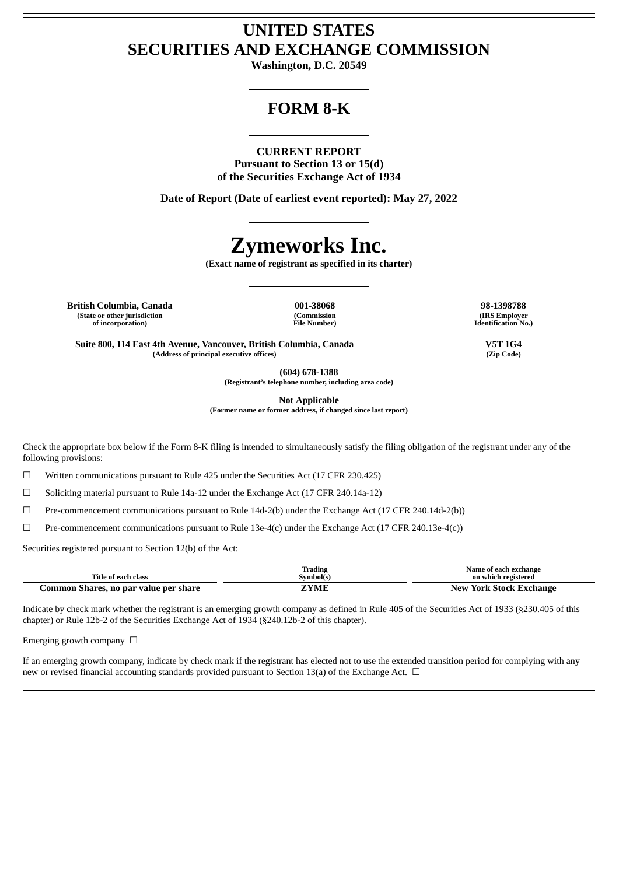# **UNITED STATES SECURITIES AND EXCHANGE COMMISSION**

**Washington, D.C. 20549**

# **FORM 8-K**

#### **CURRENT REPORT**

**Pursuant to Section 13 or 15(d) of the Securities Exchange Act of 1934**

**Date of Report (Date of earliest event reported): May 27, 2022**

# **Zymeworks Inc.**

**(Exact name of registrant as specified in its charter)**

**British Columbia, Canada 001-38068 98-1398788 (State or other jurisdiction of incorporation)**

**(Commission File Number)**

**(IRS Employer Identification No.)**

**Suite 800, 114 East 4th Avenue, Vancouver, British Columbia, Canada V5T 1G4 (Address of principal executive offices) (Zip Code)**

**(604) 678-1388**

**(Registrant's telephone number, including area code)**

**Not Applicable**

**(Former name or former address, if changed since last report)**

Check the appropriate box below if the Form 8-K filing is intended to simultaneously satisfy the filing obligation of the registrant under any of the following provisions:

 $\Box$  Written communications pursuant to Rule 425 under the Securities Act (17 CFR 230.425)

☐ Soliciting material pursuant to Rule 14a-12 under the Exchange Act (17 CFR 240.14a-12)

☐ Pre-commencement communications pursuant to Rule 14d-2(b) under the Exchange Act (17 CFR 240.14d-2(b))

☐ Pre-commencement communications pursuant to Rule 13e-4(c) under the Exchange Act (17 CFR 240.13e-4(c))

Securities registered pursuant to Section 12(b) of the Act:

|                                       | ſrading           | Name of each exchange   |
|---------------------------------------|-------------------|-------------------------|
| Title of each class                   | <b>Symbol</b> (s) | on which registered     |
| Common Shares, no par value per share | ZYME              | New York Stock Exchange |

Indicate by check mark whether the registrant is an emerging growth company as defined in Rule 405 of the Securities Act of 1933 (§230.405 of this chapter) or Rule 12b-2 of the Securities Exchange Act of 1934 (§240.12b-2 of this chapter).

Emerging growth company  $\Box$ 

If an emerging growth company, indicate by check mark if the registrant has elected not to use the extended transition period for complying with any new or revised financial accounting standards provided pursuant to Section 13(a) of the Exchange Act.  $\Box$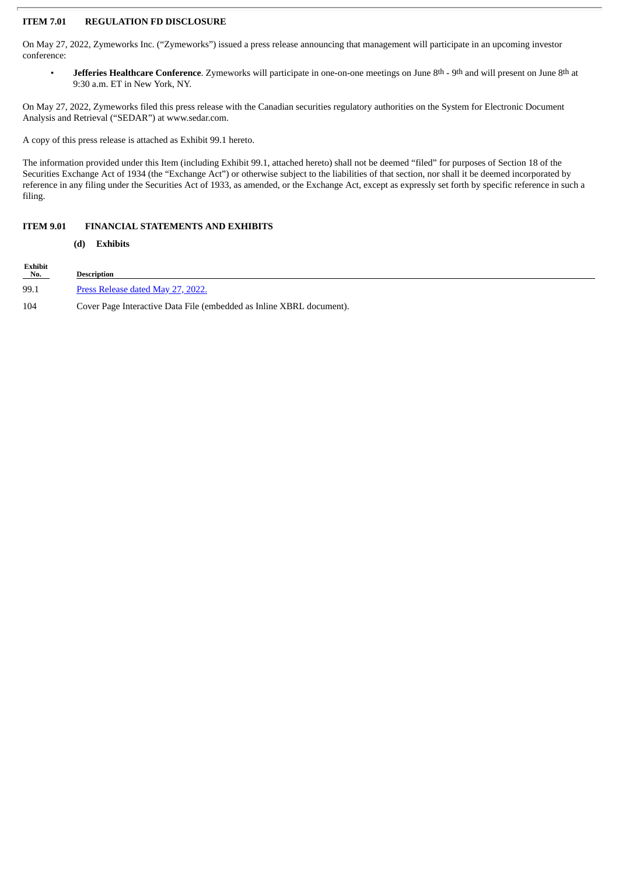## **ITEM 7.01 REGULATION FD DISCLOSURE**

On May 27, 2022, Zymeworks Inc. ("Zymeworks") issued a press release announcing that management will participate in an upcoming investor conference:

• **Jefferies Healthcare Conference**. Zymeworks will participate in one-on-one meetings on June 8th - 9th and will present on June 8th at 9:30 a.m. ET in New York, NY.

On May 27, 2022, Zymeworks filed this press release with the Canadian securities regulatory authorities on the System for Electronic Document Analysis and Retrieval ("SEDAR") at www.sedar.com.

A copy of this press release is attached as Exhibit 99.1 hereto.

The information provided under this Item (including Exhibit 99.1, attached hereto) shall not be deemed "filed" for purposes of Section 18 of the Securities Exchange Act of 1934 (the "Exchange Act") or otherwise subject to the liabilities of that section, nor shall it be deemed incorporated by reference in any filing under the Securities Act of 1933, as amended, or the Exchange Act, except as expressly set forth by specific reference in such a filing.

### **ITEM 9.01 FINANCIAL STATEMENTS AND EXHIBITS**

#### **(d) Exhibits**

| Exhibit<br>$N_0$ . | <b>Description</b>                                                   |
|--------------------|----------------------------------------------------------------------|
| 99.1               | <u>Press Release dated May 27, 2022.</u>                             |
| 104                | Cover Page Interactive Data File (embedded as Inline XBRL document). |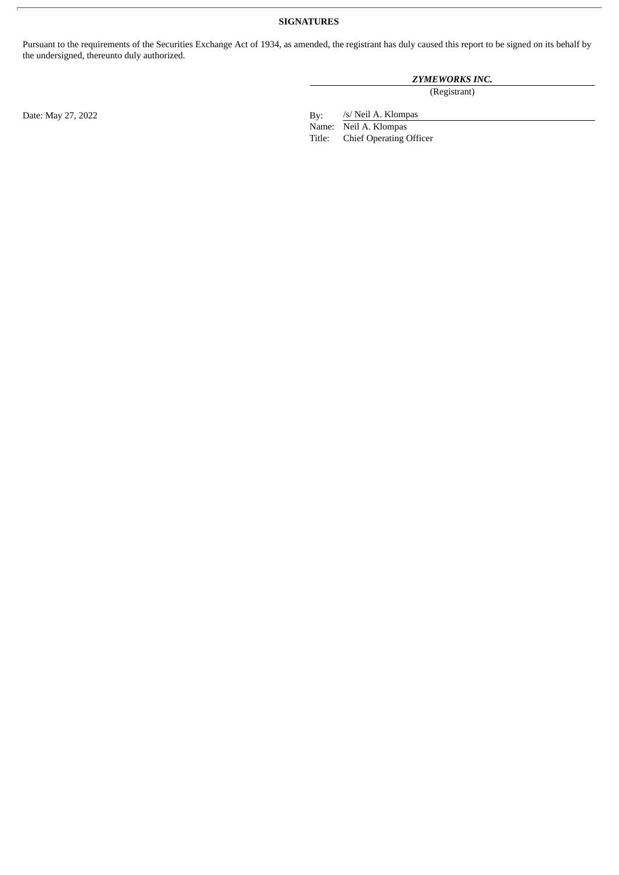# **SIGNATURES**

Pursuant to the requirements of the Securities Exchange Act of 1934, as amended, the registrant has duly caused this report to be signed on its behalf by the undersigned, thereunto duly authorized.

## *ZYMEWORKS INC.*

(Registrant)

/s/ Neil A. Klompas

Name: Neil A. Klompas<br>Title: Chief Operating ( Chief Operating Officer

Date: May 27, 2022 By: